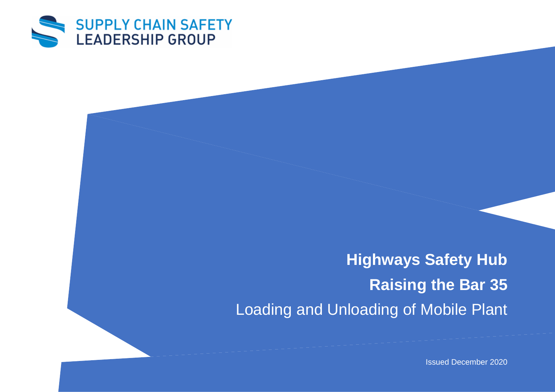

**Highways Safety Hub Raising the Bar 35** Loading and Unloading of Mobile Plant

Issued December 2020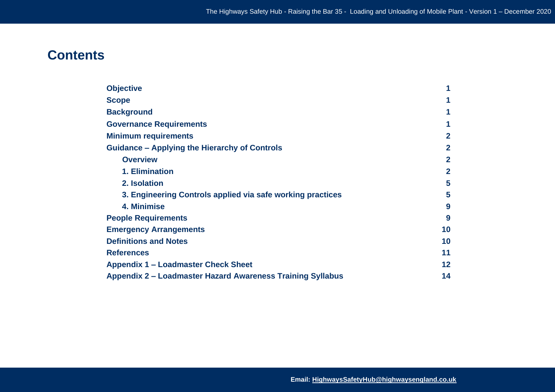# **Contents**

| <b>Objective</b>                                           | 1              |
|------------------------------------------------------------|----------------|
| <b>Scope</b>                                               |                |
| <b>Background</b>                                          | 1              |
| <b>Governance Requirements</b>                             | 1              |
| <b>Minimum requirements</b>                                | $\overline{2}$ |
| <b>Guidance – Applying the Hierarchy of Controls</b>       | $\overline{2}$ |
| <b>Overview</b>                                            | $\overline{2}$ |
| 1. Elimination                                             | $\overline{2}$ |
| 2. Isolation                                               | 5              |
| 3. Engineering Controls applied via safe working practices | 5              |
| 4. Minimise                                                | 9              |
| <b>People Requirements</b>                                 | 9              |
| <b>Emergency Arrangements</b>                              | 10             |
| <b>Definitions and Notes</b>                               | 10             |
| <b>References</b>                                          | 11             |
| <b>Appendix 1 – Loadmaster Check Sheet</b>                 | 12             |
| Appendix 2 – Loadmaster Hazard Awareness Training Syllabus | 14             |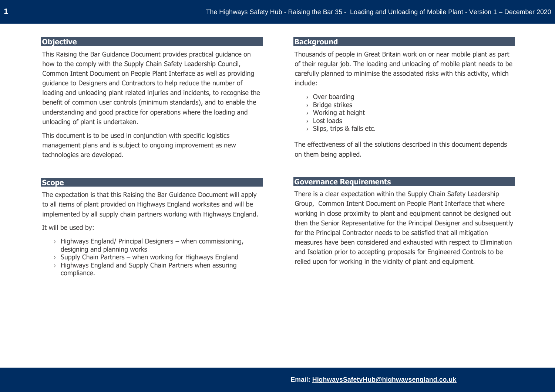## **Objective**

This Raising the Bar Guidance Document provides practical guidance on how to the comply with the Supply Chain Safety Leadership Council, Common Intent Document on People Plant Interface as well as providing guidance to Designers and Contractors to help reduce the number of loading and unloading plant related injuries and incidents, to recognise the benefit of common user controls (minimum standards), and to enable the understanding and good practice for operations where the loading and unloading of plant is undertaken.

This document is to be used in conjunction with specific logistics management plans and is subject to ongoing improvement as new technologies are developed.

## **Scope**

The expectation is that this Raising the Bar Guidance Document will apply to all items of plant provided on Highways England worksites and will be implemented by all supply chain partners working with Highways England.

It will be used by:

- $\rightarrow$  Highways England/ Principal Designers when commissioning, designing and planning works
- $\rightarrow$  Supply Chain Partners when working for Highways England
- › Highways England and Supply Chain Partners when assuring compliance.

## **Background**

Thousands of people in Great Britain work on or near mobile plant as part of their regular job. The loading and unloading of mobile plant needs to be carefully planned to minimise the associated risks with this activity, which include:

- › Over boarding
- › Bridge strikes
- › Working at height
- › Lost loads
- $\rightarrow$  Slips, trips & falls etc.

The effectiveness of all the solutions described in this document depends on them being applied.

## **Governance Requirements**

There is a clear expectation within the Supply Chain Safety Leadership Group, Common Intent Document on People Plant Interface that where working in close proximity to plant and equipment cannot be designed out then the Senior Representative for the Principal Designer and subsequently for the Principal Contractor needs to be satisfied that all mitigation measures have been considered and exhausted with respect to Elimination and Isolation prior to accepting proposals for Engineered Controls to be relied upon for working in the vicinity of plant and equipment.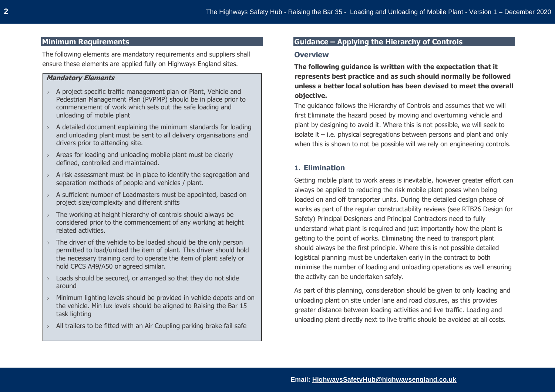## **Minimum Requirements**

The following elements are mandatory requirements and suppliers shall ensure these elements are applied fully on Highways England sites.

#### **Mandatory Elements**

- › A project specific traffic management plan or Plant, Vehicle and Pedestrian Management Plan (PVPMP) should be in place prior to commencement of work which sets out the safe loading and unloading of mobile plant
- $\rightarrow$  A detailed document explaining the minimum standards for loading and unloading plant must be sent to all delivery organisations and drivers prior to attending site.
- $\rightarrow$  Areas for loading and unloading mobile plant must be clearly defined, controlled and maintained.
- $\rightarrow$  A risk assessment must be in place to identify the segregation and separation methods of people and vehicles / plant.
- › A sufficient number of Loadmasters must be appointed, based on project size/complexity and different shifts
- › The working at height hierarchy of controls should always be considered prior to the commencement of any working at height related activities.
- $\rightarrow$  The driver of the vehicle to be loaded should be the only person permitted to load/unload the item of plant. This driver should hold the necessary training card to operate the item of plant safely or hold CPCS A49/A50 or agreed similar.
- › Loads should be secured, or arranged so that they do not slide around
- › Minimum lighting levels should be provided in vehicle depots and on the vehicle. Min lux levels should be aligned to Raising the Bar 15 task lighting
- › All trailers to be fitted with an Air Coupling parking brake fail safe

## **Guidance – Applying the Hierarchy of Controls**

#### **Overview**

**The following guidance is written with the expectation that it represents best practice and as such should normally be followed unless a better local solution has been devised to meet the overall objective.** 

The guidance follows the Hierarchy of Controls and assumes that we will first Eliminate the hazard posed by moving and overturning vehicle and plant by designing to avoid it. Where this is not possible, we will seek to isolate it – i.e. physical segregations between persons and plant and only when this is shown to not be possible will we rely on engineering controls.

## **1. Elimination**

Getting mobile plant to work areas is inevitable, however greater effort can always be applied to reducing the risk mobile plant poses when being loaded on and off transporter units. During the detailed design phase of works as part of the regular constructability reviews (see RTB26 Design for Safety) Principal Designers and Principal Contractors need to fully understand what plant is required and just importantly how the plant is getting to the point of works. Eliminating the need to transport plant should always be the first principle. Where this is not possible detailed logistical planning must be undertaken early in the contract to both minimise the number of loading and unloading operations as well ensuring the activity can be undertaken safely.

As part of this planning, consideration should be given to only loading and unloading plant on site under lane and road closures, as this provides greater distance between loading activities and live traffic. Loading and unloading plant directly next to live traffic should be avoided at all costs.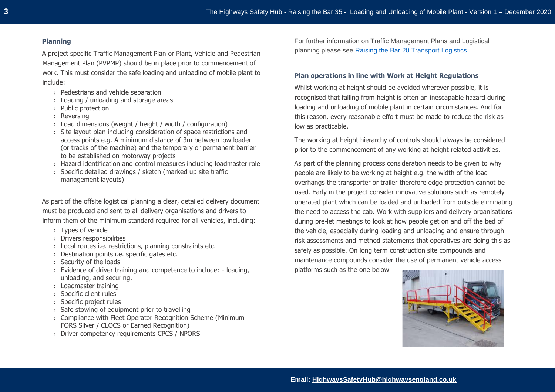#### **Planning**

A project specific Traffic Management Plan or Plant, Vehicle and Pedestrian Management Plan (PVPMP) should be in place prior to commencement of work. This must consider the safe loading and unloading of mobile plant to include:

- › Pedestrians and vehicle separation
- › Loading / unloading and storage areas
- › Public protection
- › Reversing
- $\rightarrow$  Load dimensions (weight / height / width / configuration)
- › Site layout plan including consideration of space restrictions and access points e.g. A minimum distance of 3m between low loader (or tracks of the machine) and the temporary or permanent barrier to be established on motorway projects
- › Hazard identification and control measures including loadmaster role
- › Specific detailed drawings / sketch (marked up site traffic management layouts)

As part of the offsite logistical planning a clear, detailed delivery document must be produced and sent to all delivery organisations and drivers to inform them of the minimum standard required for all vehicles, including:

- › Types of vehicle
- › Drivers responsibilities
- › Local routes i.e. restrictions, planning constraints etc.
- › Destination points i.e. specific gates etc.
- › Security of the loads
- › Evidence of driver training and competence to include: loading, unloading, and securing.
- › Loadmaster training
- › Specific client rules
- › Specific project rules
- › Safe stowing of equipment prior to travelling
- › Compliance with Fleet Operator Recognition Scheme (Minimum FORS Silver / CLOCS or Earned Recognition)
- › Driver competency requirements CPCS / NPORS

For further information on Traffic Management Plans and Logistical planning please see [Raising the Bar 20 Transport Logistics](https://www.highwayssafetyhub.com/uploads/5/1/2/9/51294565/b20_transport___logistics_management_october_2016.pdf)

#### **Plan operations in line with Work at Height Regulations**

Whilst working at height should be avoided wherever possible, it is recognised that falling from height is often an inescapable hazard during loading and unloading of mobile plant in certain circumstances. And for this reason, every reasonable effort must be made to reduce the risk as low as practicable.

The working at height hierarchy of controls should always be considered prior to the commencement of any working at height related activities.

As part of the planning process consideration needs to be given to why people are likely to be working at height e.g. the width of the load overhangs the transporter or trailer therefore edge protection cannot be used. Early in the project consider innovative solutions such as remotely operated plant which can be loaded and unloaded from outside eliminating the need to access the cab. Work with suppliers and delivery organisations during pre-let meetings to look at how people get on and off the bed of the vehicle, especially during loading and unloading and ensure through risk assessments and method statements that operatives are doing this as safely as possible. On long term construction site compounds and maintenance compounds consider the use of permanent vehicle access platforms such as the one below

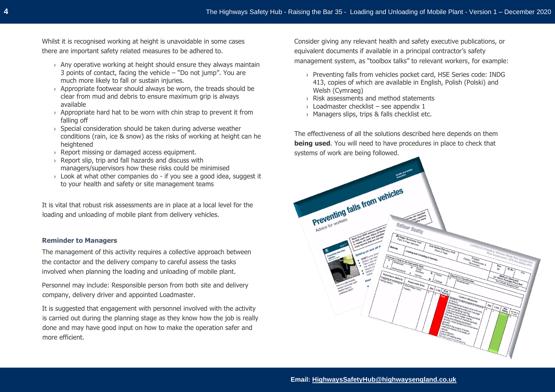Whilst it is recognised working at height is unavoidable in some cases there are important safety related measures to be adhered to.

- $\rightarrow$  Any operative working at height should ensure they always maintain 3 points of contact, facing the vehicle – "Do not jump". You are much more likely to fall or sustain injuries.
- $\rightarrow$  Appropriate footwear should always be worn, the treads should be clear from mud and debris to ensure maximum grip is always available
- $\rightarrow$  Appropriate hard hat to be worn with chin strap to prevent it from falling off
- $\rightarrow$  Special consideration should be taken during adverse weather conditions (rain, ice & snow) as the risks of working at height can he heightened
- › Report missing or damaged access equipment.
- › Report slip, trip and fall hazards and discuss with managers/supervisors how these risks could be minimised
- $\rightarrow$  Look at what other companies do if you see a good idea, suggest it to your health and safety or site management teams

It is vital that robust risk assessments are in place at a local level for the loading and unloading of mobile plant from delivery vehicles.

## **Reminder to Managers**

The management of this activity requires a collective approach between the contactor and the delivery company to careful assess the tasks involved when planning the loading and unloading of mobile plant.

Personnel may include: Responsible person from both site and delivery company, delivery driver and appointed Loadmaster.

It is suggested that engagement with personnel involved with the activity is carried out during the planning stage as they know how the job is really done and may have good input on how to make the operation safer and more efficient.

Consider giving any relevant health and safety executive publications, or equivalent documents if available in a principal contractor's safety management system, as "toolbox talks" to relevant workers, for example:

- › Preventing falls from vehicles pocket card, HSE Series code: INDG 413, copies of which are available in English, Polish (Polski) and Welsh (Cymraeg)
- › Risk assessments and method statements
- $\rightarrow$  Loadmaster checklist see appendix 1
- › Managers slips, trips & falls checklist etc.

The effectiveness of all the solutions described here depends on them **being used**. You will need to have procedures in place to check that systems of work are being followed.

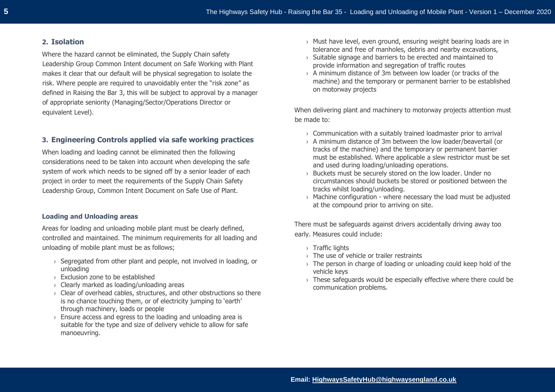### **2. Isolation**

Where the hazard cannot be eliminated, the Supply Chain safety Leadership Group Common Intent document on Safe Working with Plant makes it clear that our default will be physical segregation to isolate the risk. Where people are required to unavoidably enter the "risk zone" as defined in Raising the Bar 3, this will be subject to approval by a manager of appropriate seniority (Managing/Sector/Operations Director or equivalent Level).

## **3. Engineering Controls applied via safe working practices**

When loading and loading cannot be eliminated then the following considerations need to be taken into account when developing the safe system of work which needs to be signed off by a senior leader of each project in order to meet the requirements of the Supply Chain Safety Leadership Group, Common Intent Document on Safe Use of Plant.

#### **Loading and Unloading areas**

Areas for loading and unloading mobile plant must be clearly defined, controlled and maintained. The minimum requirements for all loading and unloading of mobile plant must be as follows;

- $\rightarrow$  Segregated from other plant and people, not involved in loading, or unloading
- › Exclusion zone to be established
- › Clearly marked as loading/unloading areas
- › Clear of overhead cables, structures, and other obstructions so there is no chance touching them, or of electricity jumping to 'earth' through machinery, loads or people
- $\rightarrow$  Ensure access and egress to the loading and unloading area is suitable for the type and size of delivery vehicle to allow for safe manoeuvring.
- › Must have level, even ground, ensuring weight bearing loads are in tolerance and free of manholes, debris and nearby excavations,
- › Suitable signage and barriers to be erected and maintained to provide information and segregation of traffic routes
- $\rightarrow$  A minimum distance of 3m between low loader (or tracks of the machine) and the temporary or permanent barrier to be established on motorway projects

When delivering plant and machinery to motorway projects attention must be made to:

- $\rightarrow$  Communication with a suitably trained loadmaster prior to arrival
- › A minimum distance of 3m between the low loader/beavertail (or tracks of the machine) and the temporary or permanent barrier must be established. Where applicable a slew restrictor must be set and used during loading/unloading operations.
- › Buckets must be securely stored on the low loader. Under no circumstances should buckets be stored or positioned between the tracks whilst loading/unloading.
- › Machine configuration where necessary the load must be adjusted at the compound prior to arriving on site.

There must be safeguards against drivers accidentally driving away too early. Measures could include:

- › Traffic lights
- › The use of vehicle or trailer restraints
- $\rightarrow$  The person in charge of loading or unloading could keep hold of the vehicle keys
- › These safeguards would be especially effective where there could be communication problems.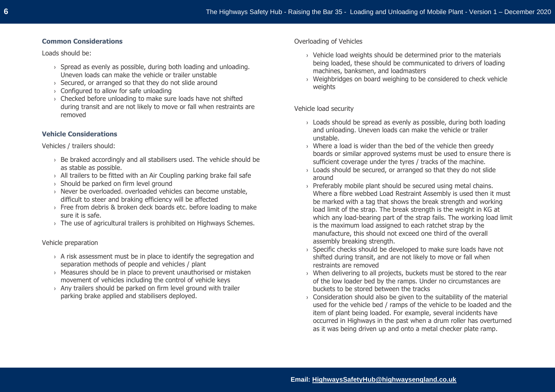## **Common Considerations**

Loads should be:

- $\rightarrow$  Spread as evenly as possible, during both loading and unloading. Uneven loads can make the vehicle or trailer unstable
- › Secured, or arranged so that they do not slide around
- › Configured to allow for safe unloading
- › Checked before unloading to make sure loads have not shifted during transit and are not likely to move or fall when restraints are removed

## **Vehicle Considerations**

Vehicles / trailers should:

- $\rightarrow$  Be braked accordingly and all stabilisers used. The vehicle should be as stable as possible.
- $\rightarrow$  All trailers to be fitted with an Air Coupling parking brake fail safe
- › Should be parked on firm level ground
- › Never be overloaded. overloaded vehicles can become unstable, difficult to steer and braking efficiency will be affected
- › Free from debris & broken deck boards etc. before loading to make sure it is safe.
- $\rightarrow$  The use of agricultural trailers is prohibited on Highways Schemes.

## Vehicle preparation

- $\rightarrow$  A risk assessment must be in place to identify the segregation and separation methods of people and vehicles / plant
- $\rightarrow$  Measures should be in place to prevent unauthorised or mistaken movement of vehicles including the control of vehicle keys
- › Any trailers should be parked on firm level ground with trailer parking brake applied and stabilisers deployed.

Overloading of Vehicles

- › Vehicle load weights should be determined prior to the materials being loaded, these should be communicated to drivers of loading machines, banksmen, and loadmasters
- › Weighbridges on board weighing to be considered to check vehicle weights

Vehicle load security

- $\rightarrow$  Loads should be spread as evenly as possible, during both loading and unloading. Uneven loads can make the vehicle or trailer unstable.
- $\rightarrow$  Where a load is wider than the bed of the vehicle then greedy boards or similar approved systems must be used to ensure there is sufficient coverage under the tyres / tracks of the machine.
- $\rightarrow$  Loads should be secured, or arranged so that they do not slide around
- > Preferably mobile plant should be secured using metal chains. Where a fibre webbed Load Restraint Assembly is used then it must be marked with a tag that shows the break strength and working load limit of the strap. The break strength is the weight in KG at which any load-bearing part of the strap fails. The working load limit is the maximum load assigned to each ratchet strap by the manufacture, this should not exceed one third of the overall assembly breaking strength.
- › Specific checks should be developed to make sure loads have not shifted during transit, and are not likely to move or fall when restraints are removed
- › When delivering to all projects, buckets must be stored to the rear of the low loader bed by the ramps. Under no circumstances are buckets to be stored between the tracks
- $\rightarrow$  Consideration should also be given to the suitability of the material used for the vehicle bed / ramps of the vehicle to be loaded and the item of plant being loaded. For example, several incidents have occurred in Highways in the past when a drum roller has overturned as it was being driven up and onto a metal checker plate ramp.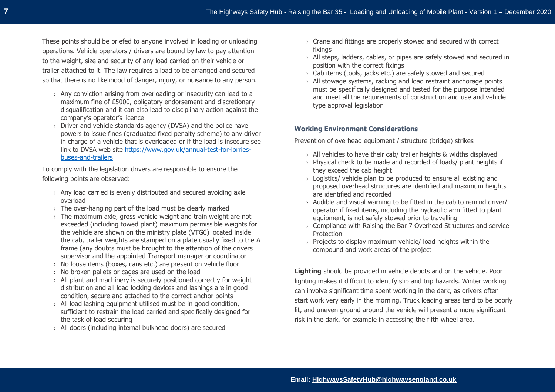These points should be briefed to anyone involved in loading or unloading operations. Vehicle operators / drivers are bound by law to pay attention to the weight, size and security of any load carried on their vehicle or trailer attached to it. The law requires a load to be arranged and secured so that there is no likelihood of danger, injury, or nuisance to any person.

- $\rightarrow$  Any conviction arising from overloading or insecurity can lead to a maximum fine of £5000, obligatory endorsement and discretionary disqualification and it can also lead to disciplinary action against the company's operator's licence
- › Driver and vehicle standards agency (DVSA) and the police have powers to issue fines (graduated fixed penalty scheme) to any driver in charge of a vehicle that is overloaded or if the load is insecure see link to DVSA web site [https://www.gov.uk/annual-test-for-lorries](https://www.gov.uk/annual-test-for-lorries-buses-and-trailers)[buses-and-trailers](https://www.gov.uk/annual-test-for-lorries-buses-and-trailers)

To comply with the legislation drivers are responsible to ensure the following points are observed:

- › Any load carried is evenly distributed and secured avoiding axle overload
- $\rightarrow$  The over-hanging part of the load must be clearly marked
- $\rightarrow$  The maximum axle, gross vehicle weight and train weight are not exceeded (including towed plant) maximum permissible weights for the vehicle are shown on the ministry plate (VTG6) located inside the cab, trailer weights are stamped on a plate usually fixed to the A frame (any doubts must be brought to the attention of the drivers supervisor and the appointed Transport manager or coordinator
- › No loose items (boxes, cans etc.) are present on vehicle floor
- › No broken pallets or cages are used on the load
- › All plant and machinery is securely positioned correctly for weight distribution and all load locking devices and lashings are in good condition, secure and attached to the correct anchor points
- › All load lashing equipment utilised must be in good condition, sufficient to restrain the load carried and specifically designed for the task of load securing
- › All doors (including internal bulkhead doors) are secured
- › Crane and fittings are properly stowed and secured with correct fixings
- › All steps, ladders, cables, or pipes are safely stowed and secured in position with the correct fixings
- $\rightarrow$  Cab items (tools, jacks etc.) are safely stowed and secured
- › All stowage systems, racking and load restraint anchorage points must be specifically designed and tested for the purpose intended and meet all the requirements of construction and use and vehicle type approval legislation

## **Working Environment Considerations**

Prevention of overhead equipment / structure (bridge) strikes

- › All vehicles to have their cab/ trailer heights & widths displayed
- › Physical check to be made and recorded of loads/ plant heights if they exceed the cab height
- $\rightarrow$  Logistics/ vehicle plan to be produced to ensure all existing and proposed overhead structures are identified and maximum heights are identified and recorded
- › Audible and visual warning to be fitted in the cab to remind driver/ operator if fixed items, including the hydraulic arm fitted to plant equipment, is not safely stowed prior to travelling
- › Compliance with Raising the Bar 7 Overhead Structures and service **Protection**
- › Projects to display maximum vehicle/ load heights within the compound and work areas of the project

**Lighting** should be provided in vehicle depots and on the vehicle. Poor lighting makes it difficult to identify slip and trip hazards. Winter working can involve significant time spent working in the dark, as drivers often start work very early in the morning. Truck loading areas tend to be poorly lit, and uneven ground around the vehicle will present a more significant risk in the dark, for example in accessing the fifth wheel area.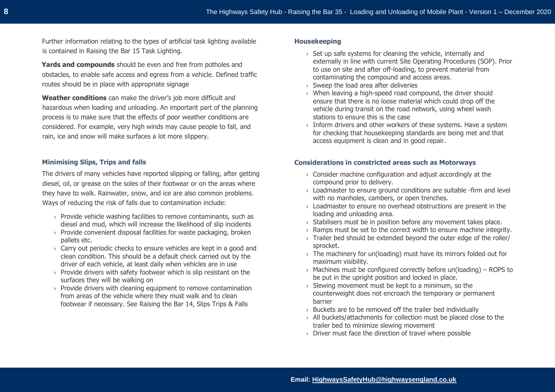Further information relating to the types of artificial task lighting available is contained in Raising the Bar 15 Task Lighting.

**Yards and compounds** should be even and free from potholes and obstacles, to enable safe access and egress from a vehicle. Defined traffic routes should be in place with appropriate signage

**Weather conditions** can make the driver's job more difficult and hazardous when loading and unloading. An important part of the planning process is to make sure that the effects of poor weather conditions are considered. For example, very high winds may cause people to fall, and rain, ice and snow will make surfaces a lot more slippery.

#### **Minimising Slips, Trips and falls**

The drivers of many vehicles have reported slipping or falling, after getting diesel, oil, or grease on the soles of their footwear or on the areas where they have to walk. Rainwater, snow, and ice are also common problems. Ways of reducing the risk of falls due to contamination include:

- $\rightarrow$  Provide vehicle washing facilities to remove contaminants, such as diesel and mud, which will increase the likelihood of slip incidents
- › Provide convenient disposal facilities for waste packaging, broken pallets etc.
- $\rightarrow$  Carry out periodic checks to ensure vehicles are kept in a good and clean condition. This should be a default check carried out by the driver of each vehicle, at least daily when vehicles are in use
- $\rightarrow$  Provide drivers with safety footwear which is slip resistant on the surfaces they will be walking on
- › Provide drivers with cleaning equipment to remove contamination from areas of the vehicle where they must walk and to clean footwear if necessary. See Raising the Bar 14, Slips Trips & Falls

#### **Housekeeping**

- › Set up safe systems for cleaning the vehicle, internally and externally in line with current Site Operating Procedures (SOP). Prior to use on site and after off-loading, to prevent material from contaminating the compound and access areas.
- › Sweep the load area after deliveries
- › When leaving a high-speed road compound, the driver should ensure that there is no loose material which could drop off the vehicle during transit on the road network, using wheel wash stations to ensure this is the case
- $\rightarrow$  Inform drivers and other workers of these systems. Have a system for checking that housekeeping standards are being met and that access equipment is clean and in good repair.

#### **Considerations in constricted areas such as Motorways**

- $\rightarrow$  Consider machine configuration and adjust accordingly at the compound prior to delivery.
- $\rightarrow$  Loadmaster to ensure ground conditions are suitable -firm and level with no manholes, cambers, or open trenches.
- $\rightarrow$  Loadmaster to ensure no overhead obstructions are present in the loading and unloading area.
- $\rightarrow$  Stabilisers must be in position before any movement takes place.
- $\rightarrow$  Ramps must be set to the correct width to ensure machine integrity.
- › Trailer bed should be extended beyond the outer edge of the roller/ sprocket.
- › The machinery for un(loading) must have its mirrors folded out for maximum visibility.
- $\rightarrow$  Machines must be configured correctly before un(loading) ROPS to be put in the upright position and locked in place.
- › Slewing movement must be kept to a minimum, so the counterweight does not encroach the temporary or permanent barrier
- › Buckets are to be removed off the trailer bed individually
- › All buckets/attachments for collection must be placed close to the trailer bed to minimize slewing movement
- › Driver must face the direction of travel where possible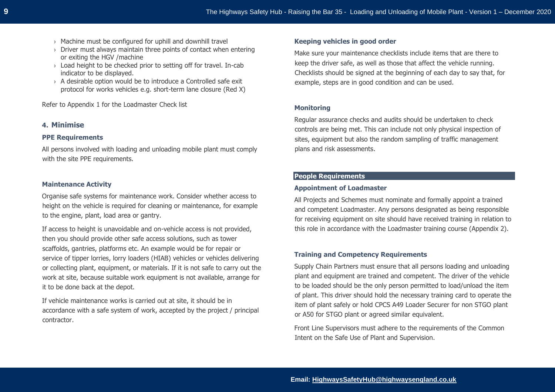- › Machine must be configured for uphill and downhill travel
- $\rightarrow$  Driver must always maintain three points of contact when entering or exiting the HGV /machine
- $\rightarrow$  Load height to be checked prior to setting off for travel. In-cab indicator to be displayed.
- $\rightarrow$  A desirable option would be to introduce a Controlled safe exit protocol for works vehicles e.g. short-term lane closure (Red X)

Refer to Appendix 1 for the Loadmaster Check list

## **4. Minimise**

#### **PPE Requirements**

All persons involved with loading and unloading mobile plant must comply with the site PPE requirements.

#### **Maintenance Activity**

Organise safe systems for maintenance work. Consider whether access to height on the vehicle is required for cleaning or maintenance, for example to the engine, plant, load area or gantry.

If access to height is unavoidable and on-vehicle access is not provided, then you should provide other safe access solutions, such as tower scaffolds, gantries, platforms etc. An example would be for repair or service of tipper lorries, lorry loaders (HIAB) vehicles or vehicles delivering or collecting plant, equipment, or materials. If it is not safe to carry out the work at site, because suitable work equipment is not available, arrange for it to be done back at the depot.

If vehicle maintenance works is carried out at site, it should be in accordance with a safe system of work, accepted by the project / principal contractor.

#### **Keeping vehicles in good order**

Make sure your maintenance checklists include items that are there to keep the driver safe, as well as those that affect the vehicle running. Checklists should be signed at the beginning of each day to say that, for example, steps are in good condition and can be used.

#### **Monitoring**

Regular assurance checks and audits should be undertaken to check controls are being met. This can include not only physical inspection of sites, equipment but also the random sampling of traffic management plans and risk assessments.

## **People Requirements**

#### **Appointment of Loadmaster**

All Projects and Schemes must nominate and formally appoint a trained and competent Loadmaster. Any persons designated as being responsible for receiving equipment on site should have received training in relation to this role in accordance with the Loadmaster training course (Appendix 2).

## **Training and Competency Requirements**

Supply Chain Partners must ensure that all persons loading and unloading plant and equipment are trained and competent. The driver of the vehicle to be loaded should be the only person permitted to load/unload the item of plant. This driver should hold the necessary training card to operate the item of plant safely or hold CPCS A49 Loader Securer for non STGO plant or A50 for STGO plant or agreed similar equivalent.

Front Line Supervisors must adhere to the requirements of the Common Intent on the Safe Use of Plant and Supervision.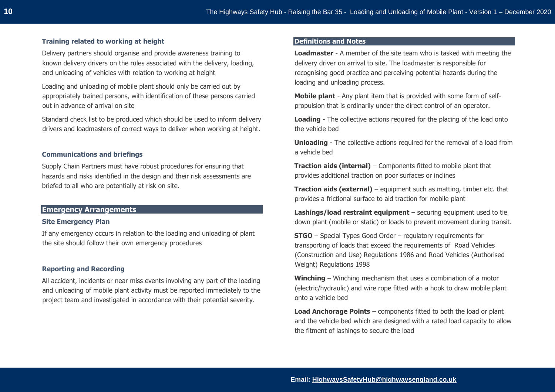### **Training related to working at height**

Delivery partners should organise and provide awareness training to known delivery drivers on the rules associated with the delivery, loading, and unloading of vehicles with relation to working at height

Loading and unloading of mobile plant should only be carried out by appropriately trained persons, with identification of these persons carried out in advance of arrival on site

Standard check list to be produced which should be used to inform delivery drivers and loadmasters of correct ways to deliver when working at height.

#### **Communications and briefings**

Supply Chain Partners must have robust procedures for ensuring that hazards and risks identified in the design and their risk assessments are briefed to all who are potentially at risk on site.

## **Emergency Arrangements**

#### **Site Emergency Plan**

If any emergency occurs in relation to the loading and unloading of plant the site should follow their own emergency procedures

#### **Reporting and Recording**

All accident, incidents or near miss events involving any part of the loading and unloading of mobile plant activity must be reported immediately to the project team and investigated in accordance with their potential severity.

## **Definitions and Notes**

**Loadmaster** - A member of the site team who is tasked with meeting the delivery driver on arrival to site. The loadmaster is responsible for recognising good practice and perceiving potential hazards during the loading and unloading process.

**Mobile plant** - Any plant item that is provided with some form of selfpropulsion that is ordinarily under the direct control of an operator.

**Loading** - The collective actions required for the placing of the load onto the vehicle bed

**Unloading** - The collective actions required for the removal of a load from a vehicle bed

**Traction aids (internal)** – Components fitted to mobile plant that provides additional traction on poor surfaces or inclines

**Traction aids (external)** – equipment such as matting, timber etc. that provides a frictional surface to aid traction for mobile plant

**Lashings/load restraint equipment** – securing equipment used to tie down plant (mobile or static) or loads to prevent movement during transit.

**STGO** – Special Types Good Order – regulatory requirements for transporting of loads that exceed the requirements of Road Vehicles (Construction and Use) Regulations 1986 and Road Vehicles (Authorised Weight) Regulations 1998

**Winching** – Winching mechanism that uses a combination of a motor (electric/hydraulic) and wire rope fitted with a hook to draw mobile plant onto a vehicle bed

**Load Anchorage Points** – components fitted to both the load or plant and the vehicle bed which are designed with a rated load capacity to allow the fitment of lashings to secure the load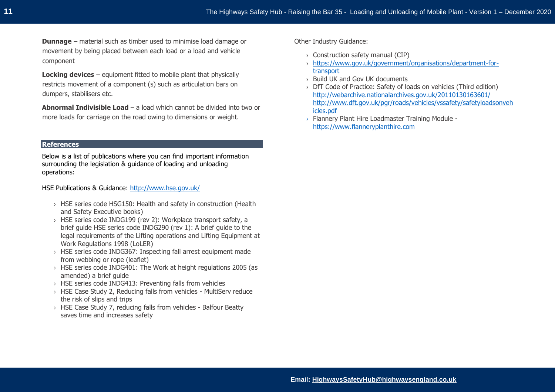**Dunnage** – material such as timber used to minimise load damage or movement by being placed between each load or a load and vehicle component

**Locking devices** – equipment fitted to mobile plant that physically restricts movement of a component (s) such as articulation bars on dumpers, stabilisers etc.

**Abnormal Indivisible Load** – a load which cannot be divided into two or more loads for carriage on the road owing to dimensions or weight.

#### **References**

Below is a list of publications where you can find important information surrounding the legislation & guidance of loading and unloading operations:

HSE Publications & Guidance: <http://www.hse.gov.uk/>

- › HSE series code HSG150: Health and safety in construction (Health and Safety Executive books)
- › HSE series code INDG199 (rev 2): Workplace transport safety, a brief guide HSE series code INDG290 (rev 1): A brief guide to the legal requirements of the Lifting operations and Lifting Equipment at Work Regulations 1998 (LoLER)
- › HSE series code INDG367: Inspecting fall arrest equipment made from webbing or rope (leaflet)
- › HSE series code INDG401: The Work at height regulations 2005 (as amended) a brief guide
- › HSE series code INDG413: Preventing falls from vehicles
- › HSE Case Study 2, Reducing falls from vehicles MultiServ reduce the risk of slips and trips
- › HSE Case Study 7, reducing falls from vehicles Balfour Beatty saves time and increases safety

Other Industry Guidance:

- › Construction safety manual (CIP)
- › [https://www.gov.uk/government/organisations/department-for](https://www.gov.uk/government/organisations/department-for-transport)[transport](https://www.gov.uk/government/organisations/department-for-transport)
- › Build UK and Gov UK documents
- › DfT Code of Practice: Safety of loads on vehicles (Third edition) <http://webarchive.nationalarchives.gov.uk/20110130163601/> [http://www.dft.gov.uk/pgr/roads/vehicles/vssafety/safetyloadsonveh](http://www.dft.gov.uk/pgr/roads/vehicles/vssafety/safetyloadsonvehicles.pdf) [icles.pdf](http://www.dft.gov.uk/pgr/roads/vehicles/vssafety/safetyloadsonvehicles.pdf)
- › Flannery Plant Hire Loadmaster Training Module [https://www.flanneryplanthire.com](https://www.flanneryplanthire.com/)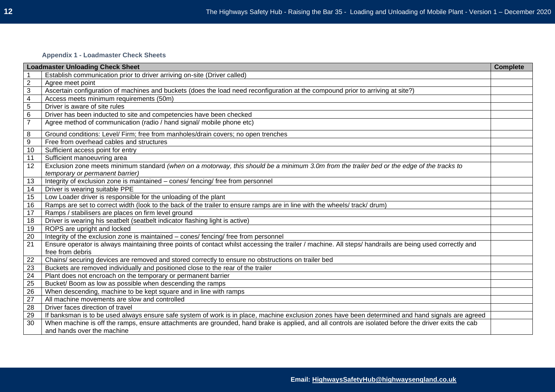## **Appendix 1 - Loadmaster Check Sheets**

|                | <b>Loadmaster Unloading Check Sheet</b>                                                                                                                                            | <b>Complete</b> |
|----------------|------------------------------------------------------------------------------------------------------------------------------------------------------------------------------------|-----------------|
|                | Establish communication prior to driver arriving on-site (Driver called)                                                                                                           |                 |
| $\overline{2}$ | Agree meet point                                                                                                                                                                   |                 |
| $\mathbf{3}$   | Ascertain configuration of machines and buckets (does the load need reconfiguration at the compound prior to arriving at site?)                                                    |                 |
| 4              | Access meets minimum requirements (50m)                                                                                                                                            |                 |
| $\overline{5}$ | Driver is aware of site rules                                                                                                                                                      |                 |
| 6              | Driver has been inducted to site and competencies have been checked                                                                                                                |                 |
| $\overline{7}$ | Agree method of communication (radio / hand signal/ mobile phone etc)                                                                                                              |                 |
| 8              | Ground conditions: Level/ Firm; free from manholes/drain covers; no open trenches                                                                                                  |                 |
| 9              | Free from overhead cables and structures                                                                                                                                           |                 |
| 10             | Sufficient access point for entry                                                                                                                                                  |                 |
| 11             | Sufficient manoeuvring area                                                                                                                                                        |                 |
| 12             | Exclusion zone meets minimum standard (when on a motorway, this should be a minimum 3.0m from the trailer bed or the edge of the tracks to<br>temporary or permanent barrier)      |                 |
| 13             | Integrity of exclusion zone is maintained - cones/ fencing/ free from personnel                                                                                                    |                 |
| 14             | Driver is wearing suitable PPE                                                                                                                                                     |                 |
| 15             | Low Loader driver is responsible for the unloading of the plant                                                                                                                    |                 |
| 16             | Ramps are set to correct width (look to the back of the trailer to ensure ramps are in line with the wheels/ track/ drum)                                                          |                 |
| 17             | Ramps / stabilisers are places on firm level ground                                                                                                                                |                 |
| 18             | Driver is wearing his seatbelt (seatbelt indicator flashing light is active)                                                                                                       |                 |
| 19             | ROPS are upright and locked                                                                                                                                                        |                 |
| 20             | Integrity of the exclusion zone is maintained - cones/ fencing/ free from personnel                                                                                                |                 |
| 21             | Ensure operator is always maintaining three points of contact whilst accessing the trailer / machine. All steps/ handrails are being used correctly and<br>free from debris        |                 |
| 22             | Chains/ securing devices are removed and stored correctly to ensure no obstructions on trailer bed                                                                                 |                 |
| 23             | Buckets are removed individually and positioned close to the rear of the trailer                                                                                                   |                 |
| 24             | Plant does not encroach on the temporary or permanent barrier                                                                                                                      |                 |
| 25             | Bucket/ Boom as low as possible when descending the ramps                                                                                                                          |                 |
| 26             | When descending, machine to be kept square and in line with ramps                                                                                                                  |                 |
| 27             | All machine movements are slow and controlled                                                                                                                                      |                 |
| 28             | Driver faces direction of travel                                                                                                                                                   |                 |
| 29             | If banksman is to be used always ensure safe system of work is in place, machine exclusion zones have been determined and hand signals are agreed                                  |                 |
| 30             | When machine is off the ramps, ensure attachments are grounded, hand brake is applied, and all controls are isolated before the driver exits the cab<br>and hands over the machine |                 |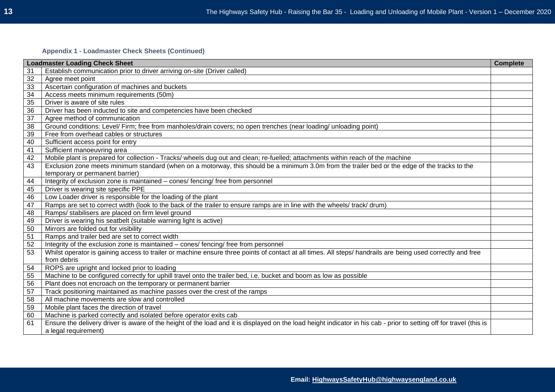## **Appendix 1 - Loadmaster Check Sheets (Continued)**

|    | <b>Loadmaster Loading Check Sheet</b>                                                                                                                                | <b>Complete</b> |
|----|----------------------------------------------------------------------------------------------------------------------------------------------------------------------|-----------------|
| 31 | Establish communication prior to driver arriving on-site (Driver called)                                                                                             |                 |
| 32 | Agree meet point                                                                                                                                                     |                 |
| 33 | Ascertain configuration of machines and buckets                                                                                                                      |                 |
| 34 | Access meets minimum requirements (50m)                                                                                                                              |                 |
| 35 | Driver is aware of site rules                                                                                                                                        |                 |
| 36 | Driver has been inducted to site and competencies have been checked                                                                                                  |                 |
| 37 | Agree method of communication                                                                                                                                        |                 |
| 38 | Ground conditions: Level/ Firm; free from manholes/drain covers; no open trenches (near loading/ unloading point)                                                    |                 |
| 39 | Free from overhead cables or structures                                                                                                                              |                 |
| 40 | Sufficient access point for entry                                                                                                                                    |                 |
| 41 | Sufficient manoeuvring area                                                                                                                                          |                 |
| 42 | Mobile plant is prepared for collection - Tracks/ wheels dug out and clean; re-fuelled; attachments within reach of the machine                                      |                 |
| 43 | Exclusion zone meets minimum standard (when on a motorway, this should be a minimum 3.0m from the trailer bed or the edge of the tracks to the                       |                 |
|    | temporary or permanent barrier)                                                                                                                                      |                 |
| 44 | Integrity of exclusion zone is maintained - cones/ fencing/ free from personnel                                                                                      |                 |
| 45 | Driver is wearing site specific PPE                                                                                                                                  |                 |
| 46 | Low Loader driver is responsible for the loading of the plant                                                                                                        |                 |
| 47 | Ramps are set to correct width (look to the back of the trailer to ensure ramps are in line with the wheels/ track/ drum)                                            |                 |
| 48 | Ramps/ stabilisers are placed on firm level ground                                                                                                                   |                 |
| 49 | Driver is wearing his seatbelt (suitable warning light is active)                                                                                                    |                 |
| 50 | Mirrors are folded out for visibility                                                                                                                                |                 |
| 51 | Ramps and trailer bed are set to correct width                                                                                                                       |                 |
| 52 | Integrity of the exclusion zone is maintained - cones/ fencing/ free from personnel                                                                                  |                 |
| 53 | Whilst operator is gaining access to trailer or machine ensure three points of contact at all times. All steps/ handrails are being used correctly and free          |                 |
|    | from debris                                                                                                                                                          |                 |
| 54 | ROPS are upright and locked prior to loading                                                                                                                         |                 |
| 55 | Machine to be configured correctly for uphill travel onto the trailer bed, i.e. bucket and boom as low as possible                                                   |                 |
| 56 | Plant does not encroach on the temporary or permanent barrier                                                                                                        |                 |
| 57 | Track positioning maintained as machine passes over the crest of the ramps                                                                                           |                 |
| 58 | All machine movements are slow and controlled                                                                                                                        |                 |
| 59 | Mobile plant faces the direction of travel                                                                                                                           |                 |
| 60 | Machine is parked correctly and isolated before operator exits cab                                                                                                   |                 |
| 61 | Ensure the delivery driver is aware of the height of the load and it is displayed on the load height indicator in his cab - prior to setting off for travel (this is |                 |
|    | a legal requirement)                                                                                                                                                 |                 |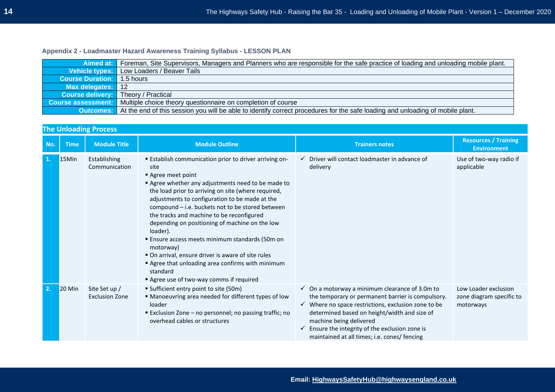# **Appendix 2 - Loadmaster Hazard Awareness Training Syllabus - LESSON PLAN**

|                                            | Aimed at: Foreman, Site Supervisors, Managers and Planners who are responsible for the safe practice of loading and unloading mobile plant.     |
|--------------------------------------------|-------------------------------------------------------------------------------------------------------------------------------------------------|
|                                            | Vehicle types: Low Loaders / Beaver Tails                                                                                                       |
| <b>Course Duration:</b> 1.5 hours          |                                                                                                                                                 |
| Max delegates: 12                          |                                                                                                                                                 |
| <b>Course delivery:</b> Theory / Practical |                                                                                                                                                 |
| <b>Course assessment:</b>                  | Multiple choice theory questionnaire on completion of course                                                                                    |
|                                            | <b>Outcomes:</b> At the end of this session you will be able to identify correct procedures for the safe loading and unloading of mobile plant. |

|     |               | <b>The Unloading Process</b>           |                                                                                                                                                                                                                                                                                                                                                                                                                                                                                                                                                                                                                                                         |                                                                                                                                                                                                                                                                                                                                                                              |                                                               |
|-----|---------------|----------------------------------------|---------------------------------------------------------------------------------------------------------------------------------------------------------------------------------------------------------------------------------------------------------------------------------------------------------------------------------------------------------------------------------------------------------------------------------------------------------------------------------------------------------------------------------------------------------------------------------------------------------------------------------------------------------|------------------------------------------------------------------------------------------------------------------------------------------------------------------------------------------------------------------------------------------------------------------------------------------------------------------------------------------------------------------------------|---------------------------------------------------------------|
| No. | <b>Time</b>   | <b>Module Title</b>                    | <b>Module Outline</b>                                                                                                                                                                                                                                                                                                                                                                                                                                                                                                                                                                                                                                   | <b>Trainers notes</b>                                                                                                                                                                                                                                                                                                                                                        | <b>Resources / Training</b><br><b>Environment</b>             |
| 1.  | 15Min         | Establishing<br>Communication          | <b>Establish communication prior to driver arriving on-</b><br>site<br>Agree meet point<br>Agree whether any adjustments need to be made to<br>the load prior to arriving on site (where required,<br>adjustments to configuration to be made at the<br>compound - i.e. buckets not to be stored between<br>the tracks and machine to be reconfigured<br>depending on positioning of machine on the low<br>loader).<br><b>Ensure access meets minimum standards (50m on</b><br>motorway)<br>• On arrival, ensure driver is aware of site rules<br>Agree that unloading area confirms with minimum<br>standard<br>Agree use of two-way comms if required | $\checkmark$ Driver will contact loadmaster in advance of<br>delivery                                                                                                                                                                                                                                                                                                        | Use of two-way radio if<br>applicable                         |
| 2.  | <b>20 Min</b> | Site Set up /<br><b>Exclusion Zone</b> | Sufficient entry point to site (50m)<br>• Manoeuvring area needed for different types of low<br>loader<br><b>Exclusion Zone - no personnel; no passing traffic; no</b><br>overhead cables or structures                                                                                                                                                                                                                                                                                                                                                                                                                                                 | $\checkmark$ On a motorway a minimum clearance of 3.0m to<br>the temporary or permanent barrier is compulsory.<br>$\checkmark$ Where no space restrictions, exclusion zone to be<br>determined based on height/width and size of<br>machine being delivered<br>Ensure the integrity of the exclusion zone is<br>$\checkmark$<br>maintained at all times; i.e. cones/ fencing | Low Loader exclusion<br>zone diagram specific to<br>motorways |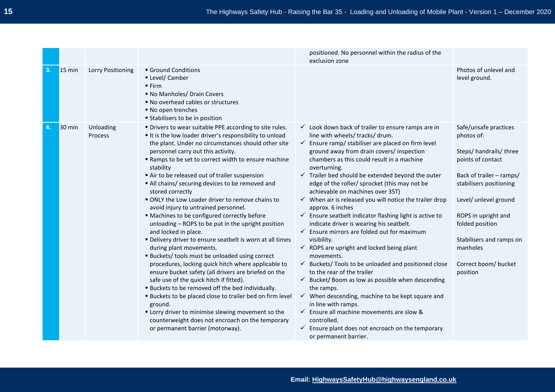|    |                  |                      |                                                                                                                                                                                                                                                                                                                                                                                                                                                                                                                                                                                                                                                                                                                                                                                                                                                                                                                                                                                                                                                                                                                                                                                                                                  | positioned. No personnel within the radius of the<br>exclusion zone                                                                                                                                                                                                                                                                                                                                                                                                                                                                                                                                                                                                                                                                                                                                                                                                                                                                                                                                                                                                                                                                                                                                                             |                                                                                                                                                                                                                                                                                           |
|----|------------------|----------------------|----------------------------------------------------------------------------------------------------------------------------------------------------------------------------------------------------------------------------------------------------------------------------------------------------------------------------------------------------------------------------------------------------------------------------------------------------------------------------------------------------------------------------------------------------------------------------------------------------------------------------------------------------------------------------------------------------------------------------------------------------------------------------------------------------------------------------------------------------------------------------------------------------------------------------------------------------------------------------------------------------------------------------------------------------------------------------------------------------------------------------------------------------------------------------------------------------------------------------------|---------------------------------------------------------------------------------------------------------------------------------------------------------------------------------------------------------------------------------------------------------------------------------------------------------------------------------------------------------------------------------------------------------------------------------------------------------------------------------------------------------------------------------------------------------------------------------------------------------------------------------------------------------------------------------------------------------------------------------------------------------------------------------------------------------------------------------------------------------------------------------------------------------------------------------------------------------------------------------------------------------------------------------------------------------------------------------------------------------------------------------------------------------------------------------------------------------------------------------|-------------------------------------------------------------------------------------------------------------------------------------------------------------------------------------------------------------------------------------------------------------------------------------------|
| 3. | $15 \text{ min}$ | Lorry Positioning    | Ground Conditions<br>Level/ Camber<br>Firm<br>• No Manholes/ Drain Covers<br>■ No overhead cables or structures<br>■ No open trenches<br><b>Stabilisers to be in position</b>                                                                                                                                                                                                                                                                                                                                                                                                                                                                                                                                                                                                                                                                                                                                                                                                                                                                                                                                                                                                                                                    |                                                                                                                                                                                                                                                                                                                                                                                                                                                                                                                                                                                                                                                                                                                                                                                                                                                                                                                                                                                                                                                                                                                                                                                                                                 | Photos of unlevel and<br>level ground.                                                                                                                                                                                                                                                    |
| 4. | $30 \text{ min}$ | Unloading<br>Process | " Drivers to wear suitable PPE according to site rules.<br>It is the low loader driver's responsibility to unload<br>the plant. Under no circumstances should other site<br>personnel carry out this activity.<br>" Ramps to be set to correct width to ensure machine<br>stability<br>Air to be released out of trailer suspension<br>All chains/ securing devices to be removed and<br>stored correctly<br>ONLY the Low Loader driver to remove chains to<br>avoid injury to untrained personnel.<br>" Machines to be configured correctly before<br>unloading - ROPS to be put in the upright position<br>and locked in place.<br>" Delivery driver to ensure seatbelt is worn at all times<br>during plant movements.<br><b>Buckets/ tools must be unloaded using correct</b><br>procedures, locking quick hitch where applicable to<br>ensure bucket safety (all drivers are briefed on the<br>safe use of the quick hitch if fitted).<br><b>Buckets to be removed off the bed individually.</b><br><b>Buckets to be placed close to trailer bed on firm level</b><br>ground.<br>" Lorry driver to minimise slewing movement so the<br>counterweight does not encroach on the temporary<br>or permanent barrier (motorway). | $\checkmark$ Look down back of trailer to ensure ramps are in<br>line with wheels/ tracks/ drum.<br>$\checkmark$ Ensure ramp/ stabiliser are placed on firm level<br>ground away from drain covers/ inspection<br>chambers as this could result in a machine<br>overturning.<br>$\checkmark$ Trailer bed should be extended beyond the outer<br>edge of the roller/ sprocket (this may not be<br>achievable on machines over 35T)<br>$\checkmark$ When air is released you will notice the trailer drop<br>approx. 6 inches<br>$\checkmark$ Ensure seatbelt indicator flashing light is active to<br>indicate driver is wearing his seatbelt.<br>$\checkmark$ Ensure mirrors are folded out for maximum<br>visibility.<br>$\checkmark$ ROPS are upright and locked being plant<br>movements.<br>$\checkmark$ Buckets/Tools to be unloaded and positioned close<br>to the rear of the trailer<br>$\checkmark$ Bucket/Boom as low as possible when descending<br>the ramps.<br>$\checkmark$ When descending, machine to be kept square and<br>in line with ramps.<br>$\checkmark$ Ensure all machine movements are slow &<br>controlled.<br>$\checkmark$ Ensure plant does not encroach on the temporary<br>or permanent barrier. | Safe/unsafe practices<br>photos of:<br>Steps/ handrails/ three<br>points of contact<br>Back of trailer - ramps/<br>stabilisers positioning<br>Level/ unlevel ground<br>ROPS in upright and<br>folded position<br>Stabilisers and ramps on<br>manholes<br>Correct boom/ bucket<br>position |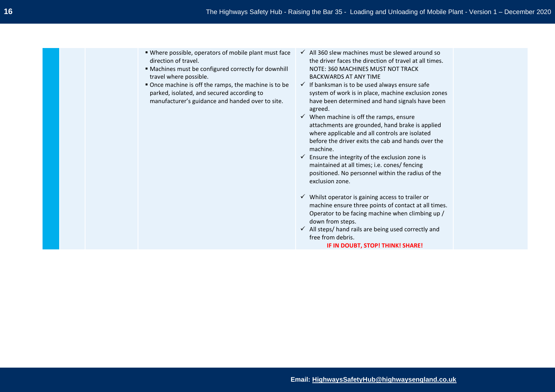- Where possible, operators of mobile plant must face direction of travel.
- Machines must be configured correctly for downhill travel where possible.
- Once machine is off the ramps, the machine is to be parked, isolated, and secured according to manufacturer's guidance and handed over to site.
- $\checkmark$  All 360 slew machines must be slewed around so the driver faces the direction of travel at all times. NOTE: 360 MACHINES MUST NOT TRACK BACKWARDS AT ANY TIME
- $\checkmark$  If banksman is to be used always ensure safe system of work is in place, machine exclusion zones have been determined and hand signals have been agreed.
- $\checkmark$  When machine is off the ramps, ensure attachments are grounded, hand brake is applied where applicable and all controls are isolated before the driver exits the cab and hands over the machine.
- $\checkmark$  Ensure the integrity of the exclusion zone is maintained at all times; i.e. cones/ fencing positioned. No personnel within the radius of the exclusion zone.
- $\checkmark$  Whilst operator is gaining access to trailer or machine ensure three points of contact at all times. Operator to be facing machine when climbing up / down from steps.
- ✓ All steps/ hand rails are being used correctly and free from debris.

**IF IN DOUBT, STOP! THINK! SHARE!**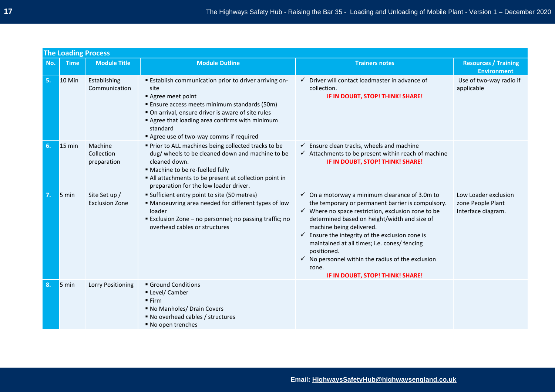|     | <b>The Loading Process</b> |                                        |                                                                                                                                                                                                                                                                                                            |                                                                                                                                                                                                                                                                                                                                                                                                                                                                                               |                                                                 |
|-----|----------------------------|----------------------------------------|------------------------------------------------------------------------------------------------------------------------------------------------------------------------------------------------------------------------------------------------------------------------------------------------------------|-----------------------------------------------------------------------------------------------------------------------------------------------------------------------------------------------------------------------------------------------------------------------------------------------------------------------------------------------------------------------------------------------------------------------------------------------------------------------------------------------|-----------------------------------------------------------------|
| No. | <b>Time</b>                | <b>Module Title</b>                    | <b>Module Outline</b>                                                                                                                                                                                                                                                                                      | <b>Trainers notes</b>                                                                                                                                                                                                                                                                                                                                                                                                                                                                         | <b>Resources / Training</b><br><b>Environment</b>               |
| 5.  | <b>10 Min</b>              | Establishing<br>Communication          | <b>Establish communication prior to driver arriving on-</b><br>site<br>Agree meet point<br><b>Ensure access meets minimum standards (50m)</b><br>• On arrival, ensure driver is aware of site rules<br>Agree that loading area confirms with minimum<br>standard<br>Agree use of two-way comms if required | $\checkmark$ Driver will contact loadmaster in advance of<br>collection.<br>IF IN DOUBT, STOP! THINK! SHARE!                                                                                                                                                                                                                                                                                                                                                                                  | Use of two-way radio if<br>applicable                           |
| 6.  | $15 \text{ min}$           | Machine<br>Collection<br>preparation   | " Prior to ALL machines being collected tracks to be<br>dug/ wheels to be cleaned down and machine to be<br>cleaned down.<br>· Machine to be re-fuelled fully<br>All attachments to be present at collection point in<br>preparation for the low loader driver.                                            | $\checkmark$ Ensure clean tracks, wheels and machine<br>$\checkmark$ Attachments to be present within reach of machine<br>IF IN DOUBT, STOP! THINK! SHARE!                                                                                                                                                                                                                                                                                                                                    |                                                                 |
| 7.  | $5 \text{ min}$            | Site Set up /<br><b>Exclusion Zone</b> | " Sufficient entry point to site (50 metres)<br>" Manoeuvring area needed for different types of low<br>loader<br>Exclusion Zone - no personnel; no passing traffic; no<br>overhead cables or structures                                                                                                   | $\checkmark$ On a motorway a minimum clearance of 3.0m to<br>the temporary or permanent barrier is compulsory.<br>$\checkmark$ Where no space restriction, exclusion zone to be<br>determined based on height/width and size of<br>machine being delivered.<br>Ensure the integrity of the exclusion zone is<br>✓<br>maintained at all times; i.e. cones/ fencing<br>positioned.<br>$\checkmark$ No personnel within the radius of the exclusion<br>zone.<br>IF IN DOUBT, STOP! THINK! SHARE! | Low Loader exclusion<br>zone People Plant<br>Interface diagram. |
| 8.  | $5 \text{ min}$            | Lorry Positioning                      | Ground Conditions<br>Level/ Camber<br>Firm<br>• No Manholes/ Drain Covers<br>■ No overhead cables / structures<br>■ No open trenches                                                                                                                                                                       |                                                                                                                                                                                                                                                                                                                                                                                                                                                                                               |                                                                 |